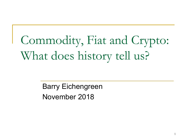# Commodity, Fiat and Crypto: What does history tell us?

Barry Eichengreen November 2018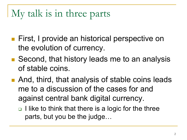## My talk is in three parts

- First, I provide an historical perspective on the evolution of currency.
- Second, that history leads me to an analysis of stable coins.
- And, third, that analysis of stable coins leads me to a discussion of the cases for and against central bank digital currency.
	- $\Box$  I like to think that there is a logic for the three parts, but you be the judge…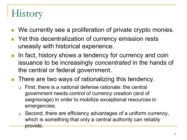# **History**

- We currently see a proliferation of private crypto monies.
- **Pank Yet this decentralization of currency emission rests** uneasily with historical experience.
- In fact, history shows a tendency for currency and coin issuance to be increasingly *concentrated* in the hands of the central or federal government.
- **There are two ways of rationalizing this tendency.** 
	- □ First, there is a national defense rationale: the central government needs control of currency creation (and of seigniorage) in order to mobilize exceptional resources in emergencies.
	- □ Second, there are efficiency advantages of a uniform currency, which is something that only a central authority can reliably provide.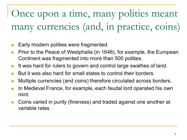Once upon a time, many polities meant many currencies (and, in practice, coins)

- **Early modern polities were fragmented.**
- Prior to the Peace of Westphalia (in 1648), for example, the European Continent was fragmented into more than 500 polities.
- It was hard for rulers to govern and control large swathes of land.
- But it was also hard for small states to control their borders.
- **Multiple currencies (and coins) therefore circulated across borders.**
- In Medieval France, for example, each feudal lord operated his own mint.
- Coins varied in purity (fineness) and traded against one another at variable rates.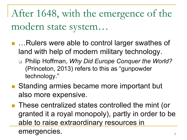After 1648, with the emergence of the modern state system…

- …Rulers were able to control larger swathes of land with help of modern military technology.
	- Philip Hoffman, *Why Did Europe Conquer the World?* (Princeton, 2013) refers to this as "gunpowder technology."
- Standing armies became more important but also more expensive.
- These centralized states controlled the mint (or granted it a royal monopoly), partly in order to be able to raise extraordinary resources in emergencies.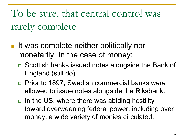To be sure, that central control was rarely complete

- It was complete neither politically nor monetarily. In the case of money:
	- **□** Scottish banks issued notes alongside the Bank of England (still do).
	- Prior to 1897, Swedish commercial banks were allowed to issue notes alongside the Riksbank.
	- $\Box$  In the US, where there was abiding hostility toward overweening federal power, including over money, a wide variety of monies circulated.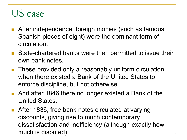#### US case

- **After independence, foreign monies (such as famous** Spanish pieces of eight) were the dominant form of circulation.
- State-chartered banks were then permitted to issue their own bank notes.
- **These provided only a reasonably uniform circulation** when there existed a Bank of the United States to enforce discipline, but not otherwise.
- And after 1846 there no longer existed a Bank of the United States.
- **After 1836, free bank notes circulated at varying** discounts, giving rise to much contemporary dissatisfaction and inefficiency (although exactly how much is disputed). The same  $\frac{7}{7}$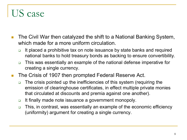#### US case

- The Civil War then catalyzed the shift to a National Banking System, which made for a more uniform circulation.
	- $\Box$  It placed a prohibitive tax on note issuance by state banks and required national banks to hold treasury bonds as backing to ensure convertibility.
	- This was essentially an example of the national defense imperative for creating a single currency.
- The Crisis of 1907 then prompted Federal Reserve Act.
	- □ The crisis pointed up the inefficiencies of this system (requiring the emission of clearinghouse certificates, in effect multiple private monies that circulated at discounts and premia against one another).
	- □ It finally made note issuance a government monopoly.
	- □ This, in contrast, was essentially an example of the economic efficiency (uniformity) argument for creating a single currency.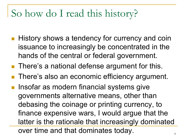## So how do I read this history?

- History shows a tendency for currency and coin issuance to increasingly be concentrated in the hands of the central or federal government.
- There's a national defense argument for this.
- **There's also an economic efficiency argument.**
- **Insofar as modern financial systems give** governments alternative means, other than debasing the coinage or printing currency, to finance expensive wars, I would argue that the latter is the rationale that increasingly dominated over time and that dominates today.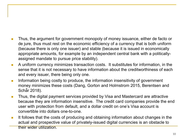- **Thus, the argument for government monopoly of money issuance, either de facto or** de jure, thus must rest on the economic efficiency of a currency that is both uniform (because there is only one issuer) and stable (because it is issued in economically appropriate amounts, for example by an independent central bank with a politicallyassigned mandate to pursue price stability).
- **A** uniform currency minimizes transaction costs. It substitutes for information, in the sense that it is not necessary to have information about the creditworthiness of each and every issuer, there being only one.
- Information being costly to produce, the information insensitivity of government money minimizes these costs (Dang, Gorton and Holmstrom 2015, Berentsen and Schär 2018).
- **Thus, the digital payment services provided by Visa and Mastercard are attractive** because they are information insensitive. The credit card companies provide the end user with protection from default, and a dollar credit on one's Visa account is convertible into dollars one-to-one.
- It follows that the costs of producing and obtaining information about changes in the actual and prospective value of privately-issued digital currencies is an obstacle to their wider utilization.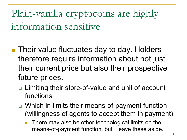Plain-vanilla cryptocoins are highly information sensitive

- Their value fluctuates day to day. Holders therefore require information about not just their current price but also their prospective future prices.
	- □ Limiting their store-of-value and unit of account functions.
	- **□** Which in limits their means-of-payment function (willingness of agents to accept them in payment).
		- There may also be other technological limits on the means-of-payment function, but I leave these aside.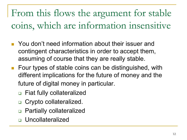From this flows the argument for stable coins, which are information insensitive

- You don't need information about their issuer and contingent characteristics in order to accept them, assuming of course that they are really stable.
- **Four types of stable coins can be distinguished, with** different implications for the future of money and the future of digital money in particular.
	- Fiat fully collateralized
	- □ Crypto collateralized.
	- **Partially collateralized**
	- Uncollateralized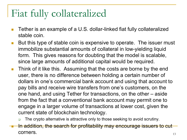## Fiat fully collateralized

- Tether is an example of a U.S. dollar-linked fiat fully collateralized stable coin.
- But this type of stable coin is expensive to operate. The issuer must immobilize substantial amounts of collateral in low-yielding liquid form. This gives reasons for doubting that the model is scalable, since large amounts of additional capital would be required.
- **Think of it like this. Assuming that the costs are borne by the end** user, there is no difference between holding a certain number of dollars in one's commercial bank account and using that account to pay bills and receive wire transfers from one's customers, on the one hand, and using Tether for transactions, on the other – aside from the fact that a conventional bank account may permit one to engage in a larger volume of transactions at lower cost, given the current state of blockchain technology.
	- The crypto alternative is attractive only to those seeking to avoid scrutiny.
- In addition, the search for profitability may encourage issuers to cut  $\blacksquare$ corners.  $\blacksquare$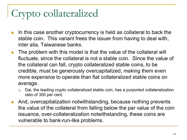# Crypto collateralized

- $\blacksquare$  In this case another cryptocurrency is held as collateral to back the stable coin. This variant frees the issuer from having to deal with, inter alia, Taiwanese banks.
- **The problem with this model is that the value of the collateral will** fluctuate, since the collateral is not a stable coin. Since the value of the collateral can fall, crypto collateralized stable coins, to be credible, must be generously overcapitalized, making them even more expensive to operate than fiat collateralized stable coins on average.
	- □ Dai, the leading crypto collateralized stable coin, has a purported collateralization ratio of 300 per cent.
- **And, overcapitalization notwithstanding, because nothing prevents** the value of the collateral from falling below the par value of the coin issuance, over-collateralization notwithstanding, these coins are vulnerable to bank-run-like problems.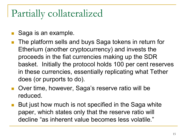#### Partially collateralized

- Saga is an example.
- The platform sells and buys Saga tokens in return for Etherium (another cryptocurrency) and invests the proceeds in the fiat currencies making up the SDR basket. Initially the protocol holds 100 per cent reserves in these currencies, essentially replicating what Tether does (or purports to do).
- **Over time, however, Saga's reserve ratio will be** reduced.
- But just how much is not specified in the Saga white paper, which states only that the reserve ratio will decline "as inherent value becomes less volatile."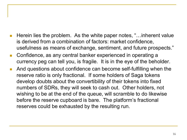- Herein lies the problem. As the white paper notes, "…inherent value is derived from a combination of factors: market confidence, usefulness as means of exchange, sentiment, and future prospects."
- Confidence, as any central banker experienced in operating a currency peg can tell you, is fragile. It is in the eye of the beholder.
- And questions about confidence can become self-fulfilling when the reserve ratio is only fractional. If some holders of Saga tokens develop doubts about the convertibility of their tokens into fixed numbers of SDRs, they will seek to cash out. Other holders, not wishing to be at the end of the queue, will scramble to do likewise before the reserve cupboard is bare. The platform's fractional reserves could be exhausted by the resulting run.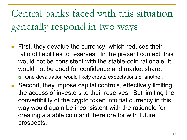Central banks faced with this situation generally respond in two ways

 First, they devalue the currency, which reduces their ratio of liabilities to reserves. In the present context, this would not be consistent with the stable-coin rationale; it would not be good for confidence and market share.

□ One devaluation would likely create expectations of another.

 Second, they impose capital controls, effectively limiting the access of investors to their reserves. But limiting the convertibility of the crypto token into fiat currency in this way would again be inconsistent with the rationale for creating a stable coin and therefore for with future prospects.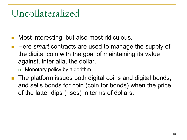#### Uncollateralized

- Most interesting, but also most ridiculous.
- Here *smart* contracts are used to manage the supply of the digital coin with the goal of maintaining its value against, inter alia, the dollar.
	- □ Monetary policy by algorithm….
- The platform issues both digital coins and digital bonds, and sells bonds for coin (coin for bonds) when the price of the latter dips (rises) in terms of dollars.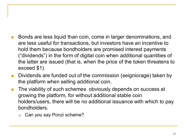- Bonds are less liquid than coin, come in larger denominations, and are less useful for transactions, but investors have an incentive to hold them because bondholders are promised interest payments ("dividends") in the form of digital coin when additional quantities of the latter are issued (that is, when the price of the token threatens to exceed \$1).
- Dividends are funded out of the commission (seigniorage) taken by the platform when selling additional coin.
- **The viability of such schemes obviously depends on success at** growing the platform, for without additional stable coin holders/users, there will be no additional issuance with which to pay bondholders.
	- Can you say Ponzi scheme?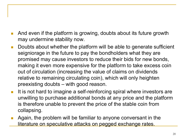- And even if the platform is growing, doubts about its future growth may undermine stability now.
- **Doubts about whether the platform will be able to generate sufficient** seigniorage in the future to pay the bondholders what they are promised may cause investors to reduce their bids for new bonds, making it even more expensive for the platform to take excess coin out of circulation (increasing the value of claims on dividends relative to remaining circulating coin), which will only heighten preexisting doubts – with good reason.
- It is not hard to imagine a self-reinforcing spiral where investors are unwilling to purchase additional bonds at any price and the platform is therefore unable to prevent the price of the stable coin from collapsing.
- Again, the problem will be familiar to anyone conversant in the literature on speculative attacks on pegged exchange rates.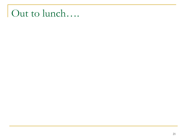## Out to lunch….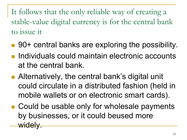It follows that the only reliable way of creating a stable-value digital currency is for the central bank to issue it

- 90+ central banks are exploring the possibility.
- **Individuals could maintain electronic accounts** at the central bank.
- Alternatively, the central bank's digital unit could circulate in a distributed fashion (held in mobile wallets or on electronic smart cards).
- Could be usable only for wholesale payments by businesses, or it could beused more widely.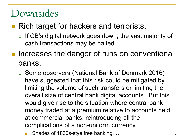#### Downsides

#### ■ Rich target for hackers and terrorists.

- □ If CB's digital network goes down, the vast majority of cash transactions may be halted.
- **Increases the danger of runs on conventional** banks.
	- Some observers (National Bank of Denmark 2016) have suggested that this risk could be mitigated by limiting the volume of such transfers or limiting the overall size of central bank digital accounts. But this would give rise to the situation where central bank money traded at a premium relative to accounts held at commercial banks, reintroducing all the complications of a non-uniform currency.
		- Shades of 1830s-stye free banking…. 23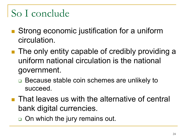## So I conclude

- Strong economic justification for a uniform circulation.
- **The only entity capable of credibly providing a** uniform national circulation is the national government.
	- □ Because stable coin schemes are unlikely to succeed.
- **That leaves us with the alternative of central** bank digital currencies.
	- o On which the jury remains out.